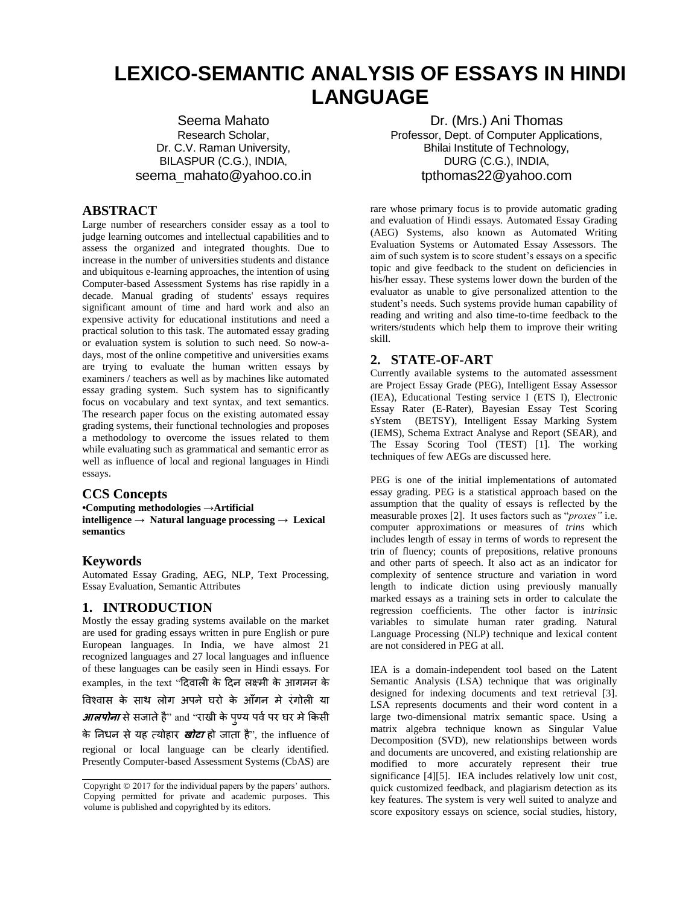# **LEXICO-SEMANTIC ANALYSIS OF ESSAYS IN HINDI LANGUAGE**

Seema Mahato Research Scholar, Dr. C.V. Raman University, BILASPUR (C.G.), INDIA, seema\_mahato@yahoo.co.in

## **ABSTRACT**

Large number of researchers consider essay as a tool to judge learning outcomes and intellectual capabilities and to assess the organized and integrated thoughts. Due to increase in the number of universities students and distance and ubiquitous e-learning approaches, the intention of using Computer-based Assessment Systems has rise rapidly in a decade. Manual grading of students' essays requires significant amount of time and hard work and also an expensive activity for educational institutions and need a practical solution to this task. The automated essay grading or evaluation system is solution to such need. So now-adays, most of the online competitive and universities exams are trying to evaluate the human written essays by examiners / teachers as well as by machines like automated essay grading system. Such system has to significantly focus on vocabulary and text syntax, and text semantics. The research paper focus on the existing automated essay grading systems, their functional technologies and proposes a methodology to overcome the issues related to them while evaluating such as grammatical and semantic error as well as influence of local and regional languages in Hindi essays.

#### **CCS Concepts**

**•Computing methodologies →Artificial intelligence → Natural language processing → Lexical semantics**

# **Keywords**

Automated Essay Grading, AEG, NLP, Text Processing, Essay Evaluation, Semantic Attributes

# **1. INTRODUCTION**

Mostly the essay grading systems available on the market are used for grading essays written in pure English or pure European languages. In India, we have almost 21 recognized languages and 27 local languages and influence of these languages can be easily seen in Hindi essays. For examples, in the text "दिवाली के दिन लक्ष्मी के आगमन के ववश्वास के साथ लोग अपने घरो के आँगन मे रंगोली या *आलपोना* से सजाते है" and "राखी के पुण्य पर्व पर घर मे किसी के ननधन सेयह त्योहार **खोटा** हो जाता है", the influence of regional or local language can be clearly identified. Presently Computer-based Assessment Systems (CbAS) are

Dr. (Mrs.) Ani Thomas Professor, Dept. of Computer Applications, Bhilai Institute of Technology, DURG (C.G.), INDIA, tpthomas22@yahoo.com

rare whose primary focus is to provide automatic grading and evaluation of Hindi essays. Automated Essay Grading (AEG) Systems, also known as Automated Writing Evaluation Systems or Automated Essay Assessors. The aim of such system is to score student's essays on a specific topic and give feedback to the student on deficiencies in his/her essay. These systems lower down the burden of the evaluator as unable to give personalized attention to the student's needs. Such systems provide human capability of reading and writing and also time-to-time feedback to the writers/students which help them to improve their writing skill.

## **2. STATE-OF-ART**

Currently available systems to the automated assessment are Project Essay Grade (PEG), Intelligent Essay Assessor (IEA), Educational Testing service I (ETS I), Electronic Essay Rater (E-Rater), Bayesian Essay Test Scoring sYstem (BETSY), Intelligent Essay Marking System (IEMS), Schema Extract Analyse and Report (SEAR), and The Essay Scoring Tool (TEST) [1]. The working techniques of few AEGs are discussed here.

PEG is one of the initial implementations of automated essay grading. PEG is a statistical approach based on the assumption that the quality of essays is reflected by the measurable proxes [2]. It uses factors such as "*proxes"* i.e. computer approximations or measures of *trins* which includes length of essay in terms of words to represent the trin of fluency; counts of prepositions, relative pronouns and other parts of speech. It also act as an indicator for complexity of sentence structure and variation in word length to indicate diction using previously manually marked essays as a training sets in order to calculate the regression coefficients. The other factor is in*trins*ic variables to simulate human rater grading. Natural Language Processing (NLP) technique and lexical content are not considered in PEG at all.

IEA is a domain-independent tool based on the Latent Semantic Analysis (LSA) technique that was originally designed for indexing documents and text retrieval [3]. LSA represents documents and their word content in a large two-dimensional matrix semantic space. Using a matrix algebra technique known as Singular Value Decomposition (SVD), new relationships between words and documents are uncovered, and existing relationship are modified to more accurately represent their true significance [4][5]. IEA includes relatively low unit cost, quick customized feedback, and plagiarism detection as its key features. The system is very well suited to analyze and score expository essays on science, social studies, history,

Copyright © 2017 for the individual papers by the papers' authors. Copying permitted for private and academic purposes. This volume is published and copyrighted by its editors.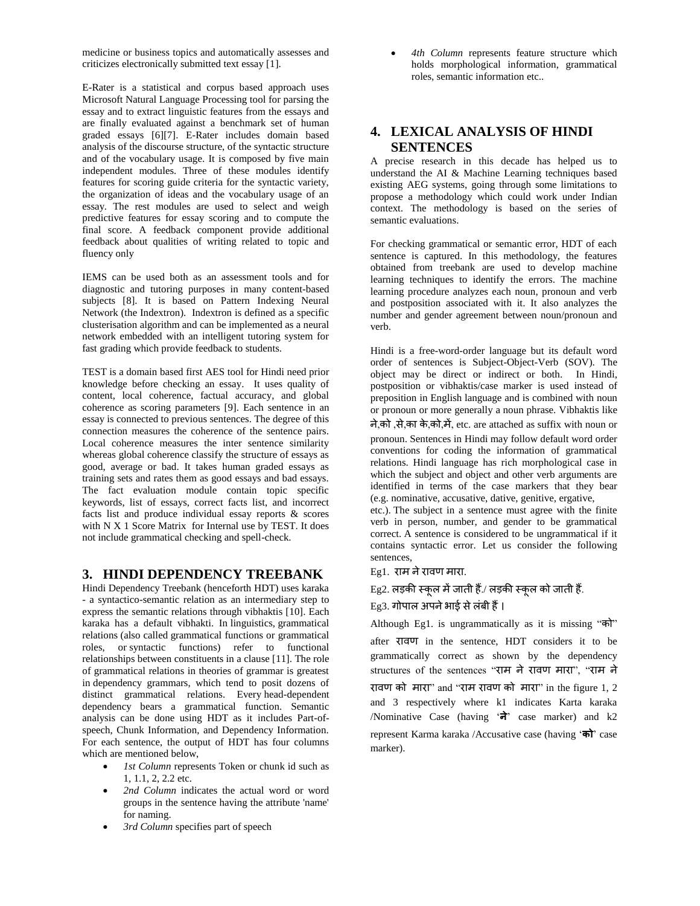medicine or business topics and automatically assesses and criticizes electronically submitted text essay [1].

E-Rater is a statistical and corpus based approach uses Microsoft Natural Language Processing tool for parsing the essay and to extract linguistic features from the essays and are finally evaluated against a benchmark set of human graded essays [6][7]. E-Rater includes domain based analysis of the discourse structure, of the syntactic structure and of the vocabulary usage. It is composed by five main independent modules. Three of these modules identify features for scoring guide criteria for the syntactic variety, the organization of ideas and the vocabulary usage of an essay. The rest modules are used to select and weigh predictive features for essay scoring and to compute the final score. A feedback component provide additional feedback about qualities of writing related to topic and fluency only

IEMS can be used both as an assessment tools and for diagnostic and tutoring purposes in many content-based subjects [8]. It is based on Pattern Indexing Neural Network (the Indextron). Indextron is defined as a specific clusterisation algorithm and can be implemented as a neural network embedded with an intelligent tutoring system for fast grading which provide feedback to students.

TEST is a domain based first AES tool for Hindi need prior knowledge before checking an essay. It uses quality of content, local coherence, factual accuracy, and global coherence as scoring parameters [9]. Each sentence in an essay is connected to previous sentences. The degree of this connection measures the coherence of the sentence pairs. Local coherence measures the inter sentence similarity whereas global coherence classify the structure of essays as good, average or bad. It takes human graded essays as training sets and rates them as good essays and bad essays. The fact evaluation module contain topic specific keywords, list of essays, correct facts list, and incorrect facts list and produce individual essay reports & scores with N X 1 Score Matrix for Internal use by TEST. It does not include grammatical checking and spell-check.

#### **3. HINDI DEPENDENCY TREEBANK**

Hindi Dependency Treebank (henceforth HDT) uses karaka - a syntactico-semantic relation as an intermediary step to express the semantic relations through vibhaktis [10]. Each karaka has a default vibhakti. In linguistics, grammatical relations (also called grammatical functions or grammatical roles, or syntactic functions) refer to functional relationships between constituents in a clause [11]. The role of grammatical relations in theories of grammar is greatest in dependency grammars, which tend to posit dozens of distinct grammatical relations. Every head-dependent dependency bears a grammatical function. Semantic analysis can be done using HDT as it includes Part-ofspeech, Chunk Information, and Dependency Information. For each sentence, the output of HDT has four columns which are mentioned below,

- *1st Column* represents Token or chunk id such as 1, 1.1, 2, 2.2 etc.
- *2nd Column* indicates the actual word or word groups in the sentence having the attribute 'name' for naming.
- *3rd Column* specifies part of speech

 *4th Column* represents feature structure which holds morphological information, grammatical roles, semantic information etc..

## **4. LEXICAL ANALYSIS OF HINDI SENTENCES**

A precise research in this decade has helped us to understand the AI & Machine Learning techniques based existing AEG systems, going through some limitations to propose a methodology which could work under Indian context. The methodology is based on the series of semantic evaluations.

For checking grammatical or semantic error, HDT of each sentence is captured. In this methodology, the features obtained from treebank are used to develop machine learning techniques to identify the errors. The machine learning procedure analyzes each noun, pronoun and verb and postposition associated with it. It also analyzes the number and gender agreement between noun/pronoun and verb.

Hindi is a free-word-order language but its default word order of sentences is Subject-Object-Verb (SOV). The object may be direct or indirect or both. In Hindi, postposition or vibhaktis/case marker is used instead of preposition in English language and is combined with noun or pronoun or more generally a noun phrase. Vibhaktis like

ने,को ,से,का के,को,में, etc. are attached as suffix with noun or pronoun. Sentences in Hindi may follow default word order conventions for coding the information of grammatical relations. Hindi language has rich morphological case in which the subject and object and other verb arguments are identified in terms of the case markers that they bear (e.g. nominative, accusative, dative, genitive, ergative,

etc.). The subject in a sentence must agree with the finite verb in person, number, and gender to be grammatical correct. A sentence is considered to be ungrammatical if it contains syntactic error. Let us consider the following sentences,

Eg1. राम ने रावण मारा.

#### $Eg2$ . लड़की स्कूल में जाती हैं./ लड़की स्कूल को जाती हैं.

#### Eg3. गोपाल अपनेभाई सेलंबी हैं।

Although Eg1. is ungrammatically as it is missing "को" after रावण in the sentence, HDT considers it to be grammatically correct as shown by the dependency structures of the sentences "राम ने रावण मारा", "राम ने रावण को मारा" and "राम रावण को मारा" in the figure 1, 2 and 3 respectively where k1 indicates Karta karaka /Nominative Case (having '**ने**' case marker) and k2 represent Karma karaka /Accusative case (having '**को**' case marker).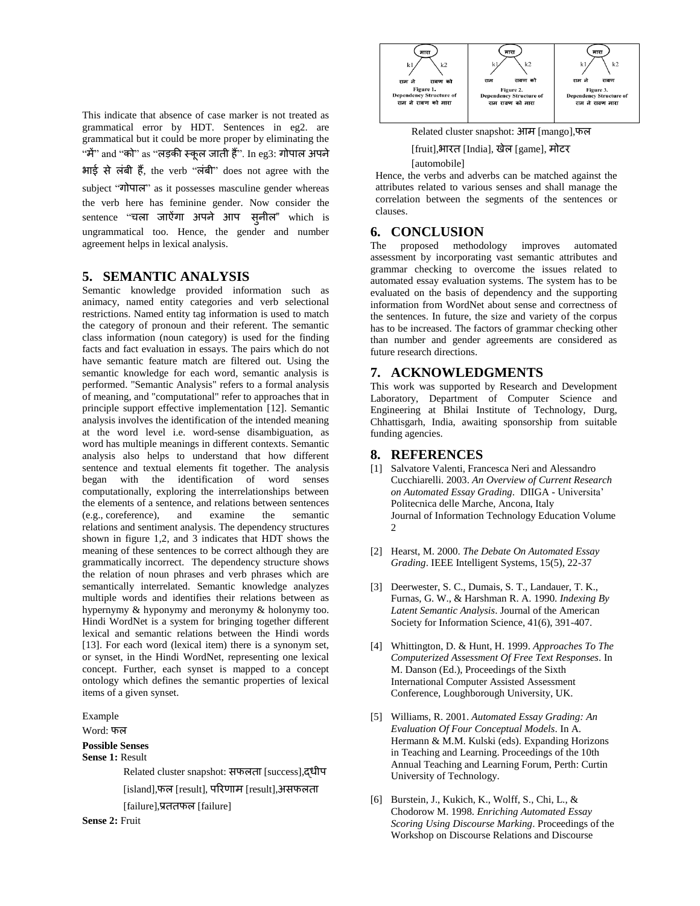This indicate that absence of case marker is not treated as grammatical error by HDT. Sentences in eg2. are grammatical but it could be more proper by eliminating the "में" and "को" as "लड़की स्कूल जाती हैं". In eg3: गोपाल अपने भाई से लंबी हैं, the verb "लंबी" does not agree with the subject "गोपाल" as it possesses masculine gender whereas the verb here has feminine gender. Now consider the sentence "चला जाऐंगा अपने आप सनील" which is ungrammatical too. Hence, the gender and number agreement helps in lexical analysis.

### **5. SEMANTIC ANALYSIS**

Semantic knowledge provided information such as animacy, named entity categories and verb selectional restrictions. Named entity tag information is used to match the category of pronoun and their referent. The semantic class information (noun category) is used for the finding facts and fact evaluation in essays. The pairs which do not have semantic feature match are filtered out. Using the semantic knowledge for each word, semantic analysis is performed. "Semantic Analysis" refers to a formal analysis of meaning, and "computational" refer to approaches that in principle support effective implementation [12]. Semantic analysis involves the identification of the intended meaning at the word level i.e. word-sense disambiguation, as word has multiple meanings in different contexts. Semantic analysis also helps to understand that how different sentence and textual elements fit together. The analysis began with the identification of word senses computationally, exploring the interrelationships between the elements of a sentence, and relations between sentences (e.g., coreference), and examine the semantic relations and sentiment analysis. The dependency structures shown in figure 1,2, and 3 indicates that HDT shows the meaning of these sentences to be correct although they are grammatically incorrect. The dependency structure shows the relation of noun phrases and verb phrases which are semantically interrelated. Semantic knowledge analyzes multiple words and identifies their relations between as hypernymy & hyponymy and meronymy & holonymy too. Hindi WordNet is a system for bringing together different lexical and semantic relations between the Hindi words [13]. For each word (lexical item) there is a synonym set, or synset, in the Hindi WordNet, representing one lexical concept. Further, each synset is mapped to a concept ontology which defines the semantic properties of lexical items of a given synset.

Example

Word: फल

## **Possible Senses**

**Sense 1:** Result

Related cluster snapshot: सफलता [success],द्धीप

[island],फल [result], पररणाम [result],असफलता

[failure],प्रततफल [failure]

**Sense 2:** Fruit



Related cluster snapshot: आम [mango],फल

[fruit],भारत [India], खेल [game], मोटर

#### [automobile]

Hence, the verbs and adverbs can be matched against the attributes related to various senses and shall manage the correlation between the segments of the sentences or clauses.

#### **6. CONCLUSION**

The proposed methodology improves automated assessment by incorporating vast semantic attributes and grammar checking to overcome the issues related to automated essay evaluation systems. The system has to be evaluated on the basis of dependency and the supporting information from WordNet about sense and correctness of the sentences. In future, the size and variety of the corpus has to be increased. The factors of grammar checking other than number and gender agreements are considered as future research directions.

#### **7. ACKNOWLEDGMENTS**

This work was supported by Research and Development Laboratory, Department of Computer Science and Engineering at Bhilai Institute of Technology, Durg, Chhattisgarh, India, awaiting sponsorship from suitable funding agencies.

#### **8. REFERENCES**

- [1] Salvatore Valenti, Francesca Neri and Alessandro Cucchiarelli. 2003. *An Overview of Current Research on Automated Essay Grading.* DIIGA - Universita' Politecnica delle Marche, Ancona, Italy Journal of Information Technology Education Volume  $\mathfrak{D}$
- [2] Hearst, M. 2000. *The Debate On Automated Essay Grading*. IEEE Intelligent Systems, 15(5), 22-37
- [3] Deerwester, S. C., Dumais, S. T., Landauer, T. K., Furnas, G. W., & Harshman R. A. 1990. *Indexing By Latent Semantic Analysis*. Journal of the American Society for Information Science, 41(6), 391-407.
- [4] Whittington, D. & Hunt, H. 1999. *Approaches To The Computerized Assessment Of Free Text Responses*. In M. Danson (Ed.), Proceedings of the Sixth International Computer Assisted Assessment Conference, Loughborough University, UK.
- [5] Williams, R. 2001. *Automated Essay Grading: An Evaluation Of Four Conceptual Models*. In A. Hermann & M.M. Kulski (eds). Expanding Horizons in Teaching and Learning. Proceedings of the 10th Annual Teaching and Learning Forum, Perth: Curtin University of Technology.
- [6] Burstein, J., Kukich, K., Wolff, S., Chi, L., & Chodorow M. 1998. *Enriching Automated Essay Scoring Using Discourse Marking*. Proceedings of the Workshop on Discourse Relations and Discourse